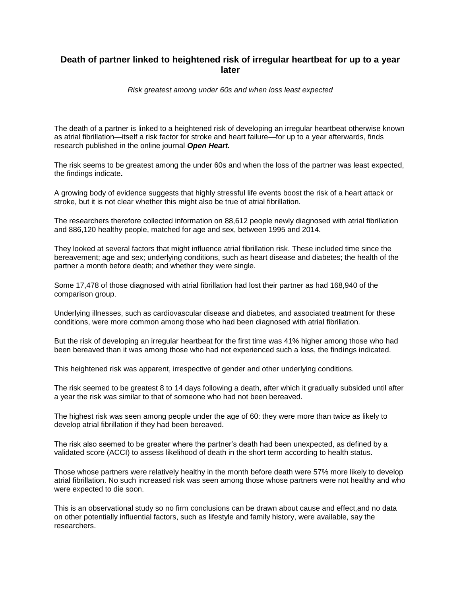## **Death of partner linked to heightened risk of irregular heartbeat for up to a year later**

*Risk greatest among under 60s and when loss least expected*

The death of a partner is linked to a heightened risk of developing an irregular heartbeat otherwise known as atrial fibrillation—itself a risk factor for stroke and heart failure—for up to a year afterwards, finds research published in the online journal *Open Heart.*

The risk seems to be greatest among the under 60s and when the loss of the partner was least expected, the findings indicate**.**

A growing body of evidence suggests that highly stressful life events boost the risk of a heart attack or stroke, but it is not clear whether this might also be true of atrial fibrillation.

The researchers therefore collected information on 88,612 people newly diagnosed with atrial fibrillation and 886,120 healthy people, matched for age and sex, between 1995 and 2014.

They looked at several factors that might influence atrial fibrillation risk. These included time since the bereavement; age and sex; underlying conditions, such as heart disease and diabetes; the health of the partner a month before death; and whether they were single.

Some 17,478 of those diagnosed with atrial fibrillation had lost their partner as had 168,940 of the comparison group.

Underlying illnesses, such as cardiovascular disease and diabetes, and associated treatment for these conditions, were more common among those who had been diagnosed with atrial fibrillation.

But the risk of developing an irregular heartbeat for the first time was 41% higher among those who had been bereaved than it was among those who had not experienced such a loss, the findings indicated.

This heightened risk was apparent, irrespective of gender and other underlying conditions.

The risk seemed to be greatest 8 to 14 days following a death, after which it gradually subsided until after a year the risk was similar to that of someone who had not been bereaved.

The highest risk was seen among people under the age of 60: they were more than twice as likely to develop atrial fibrillation if they had been bereaved.

The risk also seemed to be greater where the partner's death had been unexpected, as defined by a validated score (ACCI) to assess likelihood of death in the short term according to health status.

Those whose partners were relatively healthy in the month before death were 57% more likely to develop atrial fibrillation. No such increased risk was seen among those whose partners were not healthy and who were expected to die soon.

This is an observational study so no firm conclusions can be drawn about cause and effect,and no data on other potentially influential factors, such as lifestyle and family history, were available, say the researchers.